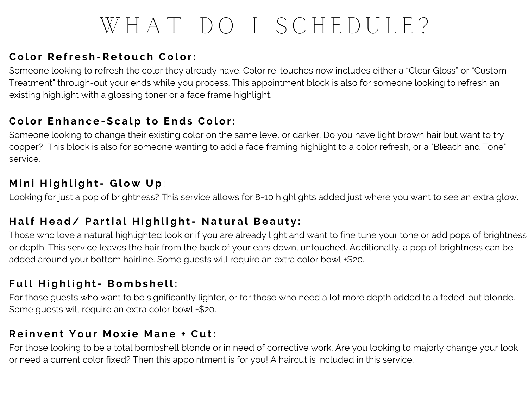# WHAT DO I SCHEDULE?

### $C$  $O$  $O$  **<b>r**  $P$  **Refresh -Retouch**  $C$  $O$  $O$  $O$  $P$   $P$

Someone looking to refresh the color they already have. Color re-touches now includes either a "Clear Gloss" or "Custom Treatment" through-out your ends while you process. This appointment block is also for someone looking to refresh an existing highlight with a glossing toner or a face frame highlight.

#### **Color Enhance-Scalp to Ends Color:**

Someone looking to change their existing color on the same level or darker. Do you have light brown hair but want to try copper? This block is also for someone wanting to add a face framing highlight to a color refresh, or a "Bleach and Tone" service.

#### $M$  **in i Highlight**- Glow Up:

Looking for just a pop of brightness? This service allows for 8-10 highlights added just where you want to see an extra glow.

#### Half Head/ Partial Highlight- Natural Beauty:

Those who love a natural highlighted look or if you are already light and want to fine tune your tone or add pops of brightness or depth. This service leaves the hair from the back of your ears down, untouched. Additionally, a pop of brightness can be added around your bottom hairline. Some guests will require an extra color bowl +\$20.

#### $Full$   $Hial$   $\alpha$   $hli \alpha$   $hli \alpha$   $hli \alpha$   $hli \alpha$   $hli \alpha$   $hli \alpha$

For those quests who want to be significantly lighter, or for those who need a lot more depth added to a faded-out blonde. Some quests will require an extra color bowl +\$20.

#### **Reinvent Your Moxie Mane + Cut:**

For those looking to be a total bombshell blonde or in need of corrective work. Are you looking to majorly change your look or need a current color fixed? Then this appointment is for you! A haircut is included in this service.